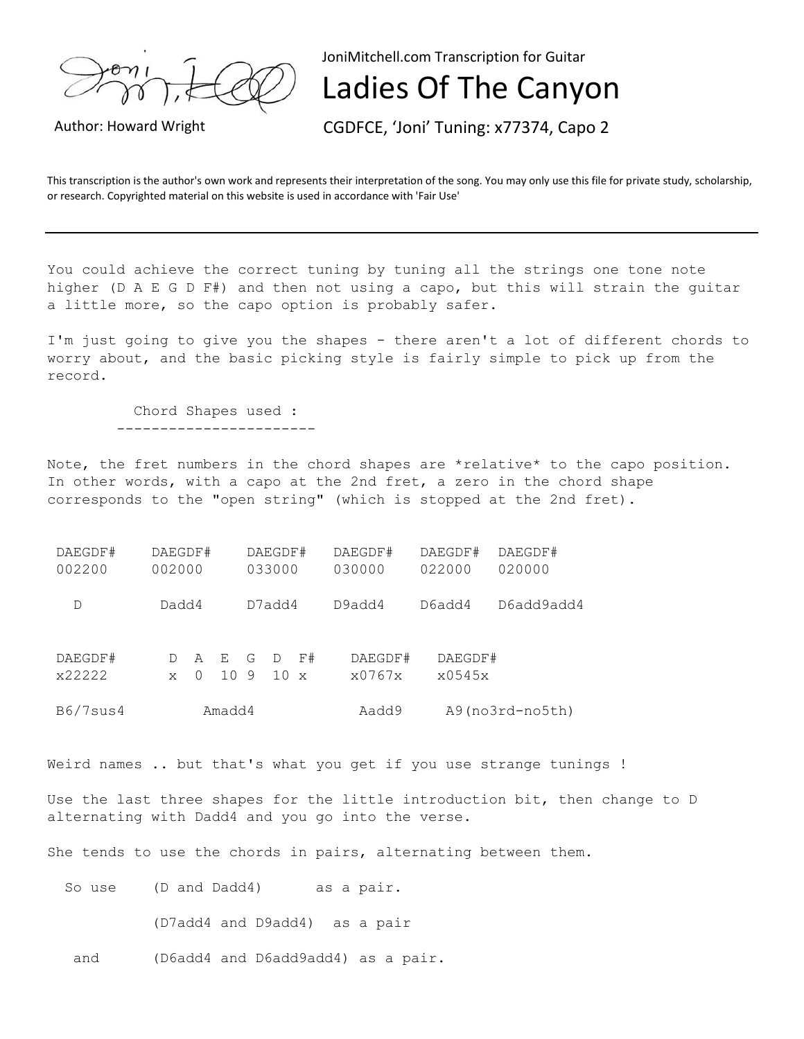

JoniMitchell.com Transcription for Guitar

## Ladies Of The Canyon

Author: Howard Wright CGDFCE, 'Joni' Tuning: x77374, Capo 2

This transcription is the author's own work and represents their interpretation of the song. You may only use this file for private study, scholarship, or research. Copyrighted material on this website is used in accordance with 'Fair Use'

You could achieve the correct tuning by tuning all the strings one tone note higher (D A E G D F#) and then not using a capo, but this will strain the guitar a little more, so the capo option is probably safer.

I'm just going to give you the shapes - there aren't a lot of different chords to worry about, and the basic picking style is fairly simple to pick up from the record.

 Chord Shapes used : -----------------------

Note, the fret numbers in the chord shapes are \*relative\* to the capo position. In other words, with a capo at the 2nd fret, a zero in the chord shape corresponds to the "open string" (which is stopped at the 2nd fret).

| DAEGDF#  | DAEGDF# |   |      | DAEGDF# |     |                       | DAEGDF# |                          | DAEGDF# | DAEGDF#    |
|----------|---------|---|------|---------|-----|-----------------------|---------|--------------------------|---------|------------|
| 002200   | 002000  |   |      | 033000  |     |                       | 030000  |                          | 022000  | 020000     |
|          |         |   |      |         |     |                       |         |                          |         |            |
| D        | Dadd4   |   |      | D7add4  |     |                       | D9add4  |                          | D6add4  | D6add9add4 |
|          |         |   |      |         |     |                       |         |                          |         |            |
|          |         |   |      |         |     |                       |         |                          |         |            |
| DAEGDF#  |         | A | E    | G       | D   | F#                    | DAEGDF# |                          | DAEGDF# |            |
| x22222   | X       |   | 10 9 |         | 1 O | $\boldsymbol{\times}$ | x0767x  |                          | x0545x  |            |
|          |         |   |      |         |     |                       |         |                          |         |            |
| B6/7sus4 | Amadd4  |   |      |         |     |                       |         | A9(no3rd-no5th)<br>Aadd9 |         |            |

Weird names .. but that's what you get if you use strange tunings !

Use the last three shapes for the little introduction bit, then change to D alternating with Dadd4 and you go into the verse.

She tends to use the chords in pairs, alternating between them.

So use (D and Dadd4) as a pair. (D7add4 and D9add4) as a pair and (D6add4 and D6add9add4) as a pair.